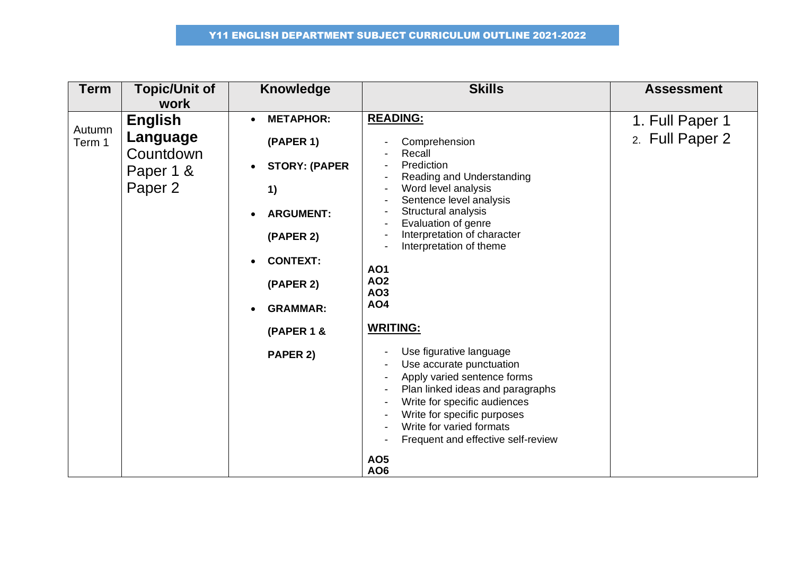| <b>Term</b>      | <b>Topic/Unit of</b><br>work                                    | <b>Knowledge</b>                                                                                                                                                          | <b>Skills</b>                                                                                                                                                                                                                                                                                                                                                                                                                                                                                                                                                                                | <b>Assessment</b>                  |
|------------------|-----------------------------------------------------------------|---------------------------------------------------------------------------------------------------------------------------------------------------------------------------|----------------------------------------------------------------------------------------------------------------------------------------------------------------------------------------------------------------------------------------------------------------------------------------------------------------------------------------------------------------------------------------------------------------------------------------------------------------------------------------------------------------------------------------------------------------------------------------------|------------------------------------|
| Autumn<br>Term 1 | <b>English</b><br>Language<br>Countdown<br>Paper 1 &<br>Paper 2 | <b>METAPHOR:</b><br>(PAPER 1)<br><b>STORY: (PAPER</b><br>1)<br><b>ARGUMENT:</b><br>(PAPER 2)<br><b>CONTEXT:</b><br>(PAPER 2)<br><b>GRAMMAR:</b><br>(PAPER 1 &<br>PAPER 2) | <b>READING:</b><br>Comprehension<br>Recall<br>Prediction<br>Reading and Understanding<br>Word level analysis<br>Sentence level analysis<br>Structural analysis<br>Evaluation of genre<br>Interpretation of character<br>Interpretation of theme<br><b>AO1</b><br><b>AO2</b><br><b>AO3</b><br>AO4<br><b>WRITING:</b><br>Use figurative language<br>Use accurate punctuation<br>Apply varied sentence forms<br>Plan linked ideas and paragraphs<br>Write for specific audiences<br>Write for specific purposes<br>Write for varied formats<br>Frequent and effective self-review<br><b>AO5</b> | 1. Full Paper 1<br>2. Full Paper 2 |
|                  |                                                                 |                                                                                                                                                                           | <b>AO6</b>                                                                                                                                                                                                                                                                                                                                                                                                                                                                                                                                                                                   |                                    |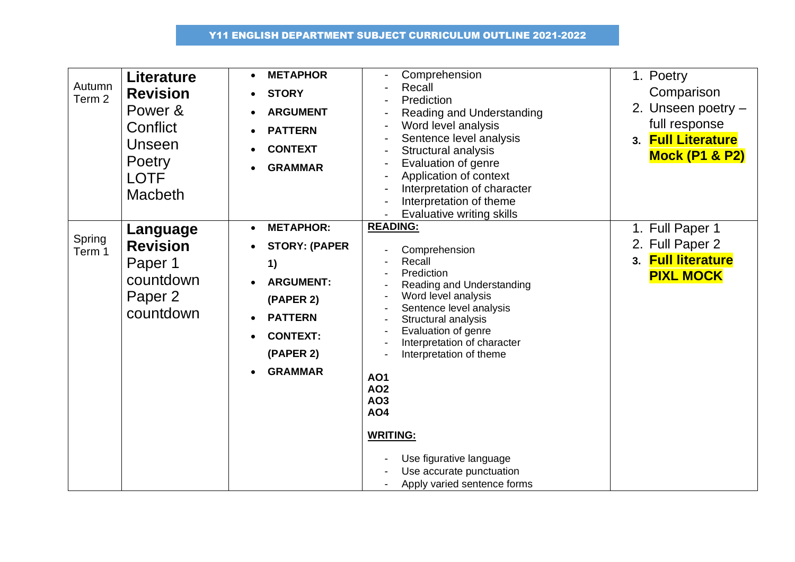| Autumn<br>Term <sub>2</sub> | <b>Literature</b><br><b>Revision</b><br>Power &<br>Conflict<br>Unseen<br>Poetry<br>LOTF<br><b>Macbeth</b> | <b>METAPHOR</b><br><b>STORY</b><br><b>ARGUMENT</b><br><b>PATTERN</b><br><b>CONTEXT</b><br><b>GRAMMAR</b>                                                         | Comprehension<br>Recall<br>Prediction<br>Reading and Understanding<br>$\overline{a}$<br>Word level analysis<br>$\blacksquare$<br>Sentence level analysis<br>$\overline{\phantom{a}}$<br>Structural analysis<br>Evaluation of genre<br>$\blacksquare$<br>Application of context<br>Interpretation of character<br>Interpretation of theme<br><b>Evaluative writing skills</b>                              | 1. Poetry<br>Comparison<br>2. Unseen poetry $-$<br>full response<br>3. Full Literature<br><b>Mock (P1 &amp; P2)</b> |
|-----------------------------|-----------------------------------------------------------------------------------------------------------|------------------------------------------------------------------------------------------------------------------------------------------------------------------|-----------------------------------------------------------------------------------------------------------------------------------------------------------------------------------------------------------------------------------------------------------------------------------------------------------------------------------------------------------------------------------------------------------|---------------------------------------------------------------------------------------------------------------------|
| Spring<br>Term 1            | Language<br><b>Revision</b><br>Paper 1<br>countdown<br>Paper 2<br>countdown                               | <b>METAPHOR:</b><br>$\bullet$<br><b>STORY: (PAPER</b><br>1)<br><b>ARGUMENT:</b><br>(PAPER 2)<br><b>PATTERN</b><br><b>CONTEXT:</b><br>(PAPER 2)<br><b>GRAMMAR</b> | <b>READING:</b><br>Comprehension<br>Recall<br>Prediction<br>Reading and Understanding<br>Word level analysis<br>Sentence level analysis<br>Structural analysis<br>Evaluation of genre<br>Interpretation of character<br>Interpretation of theme<br><b>AO1</b><br><b>AO2</b><br>AO3<br><b>AO4</b><br><b>WRITING:</b><br>Use figurative language<br>Use accurate punctuation<br>Apply varied sentence forms | 1. Full Paper 1<br>2. Full Paper 2<br>3. Full literature<br><b>PIXL MOCK</b>                                        |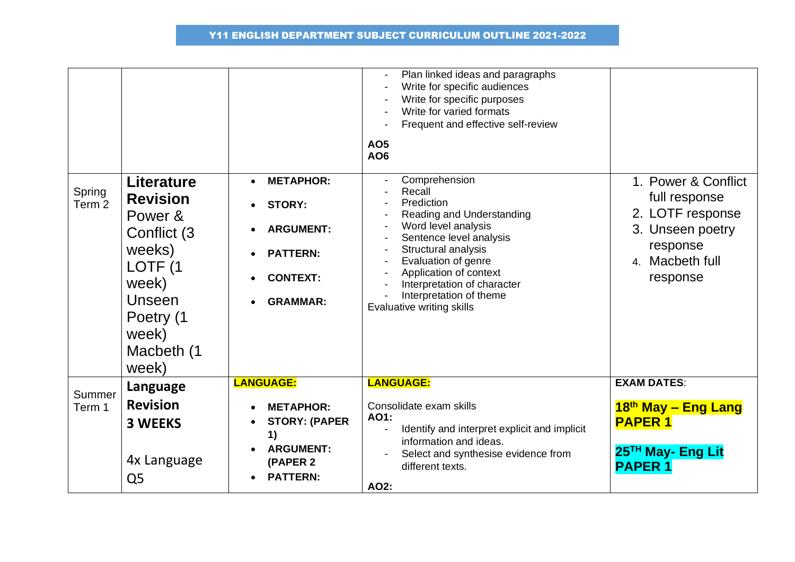|                             |                                                                                                                                                                 |                                                                                                                       | Plan linked ideas and paragraphs<br>Write for specific audiences<br>Write for specific purposes<br>Write for varied formats<br>Frequent and effective self-review<br><b>AO5</b><br>AO6                                                                                                                          |                                                                                                                         |
|-----------------------------|-----------------------------------------------------------------------------------------------------------------------------------------------------------------|-----------------------------------------------------------------------------------------------------------------------|-----------------------------------------------------------------------------------------------------------------------------------------------------------------------------------------------------------------------------------------------------------------------------------------------------------------|-------------------------------------------------------------------------------------------------------------------------|
| Spring<br>Term <sub>2</sub> | <b>Literature</b><br><b>Revision</b><br>Power &<br>Conflict (3)<br>weeks)<br>LOTF <sub>(1</sub><br>week)<br>Unseen<br>Poetry (1<br>week)<br>Macbeth (1<br>week) | <b>METAPHOR:</b><br><b>STORY:</b><br><b>ARGUMENT:</b><br><b>PATTERN:</b><br><b>CONTEXT:</b><br><b>GRAMMAR:</b>        | Comprehension<br>Recall<br>Prediction<br>Reading and Understanding<br>Word level analysis<br>$\overline{\phantom{a}}$<br>Sentence level analysis<br>Structural analysis<br>Evaluation of genre<br>Application of context<br>Interpretation of character<br>Interpretation of theme<br>Evaluative writing skills | 1. Power & Conflict<br>full response<br>2. LOTF response<br>3. Unseen poetry<br>response<br>4. Macbeth full<br>response |
| Summer<br>Term 1            | Language<br><b>Revision</b><br><b>3 WEEKS</b><br>4x Language<br>Q <sub>5</sub>                                                                                  | <b>LANGUAGE:</b><br><b>METAPHOR:</b><br><b>STORY: (PAPER</b><br>1)<br><b>ARGUMENT:</b><br>(PAPER 2<br><b>PATTERN:</b> | <b>LANGUAGE:</b><br>Consolidate exam skills<br>AO1:<br>Identify and interpret explicit and implicit<br>information and ideas.<br>Select and synthesise evidence from<br>different texts.<br>AO2:                                                                                                                | <b>EXAM DATES:</b><br>18th May - Eng Lang<br><b>PAPER 1</b><br>25 <sup>TH</sup> May- Eng Lit<br><b>PAPER 1</b>          |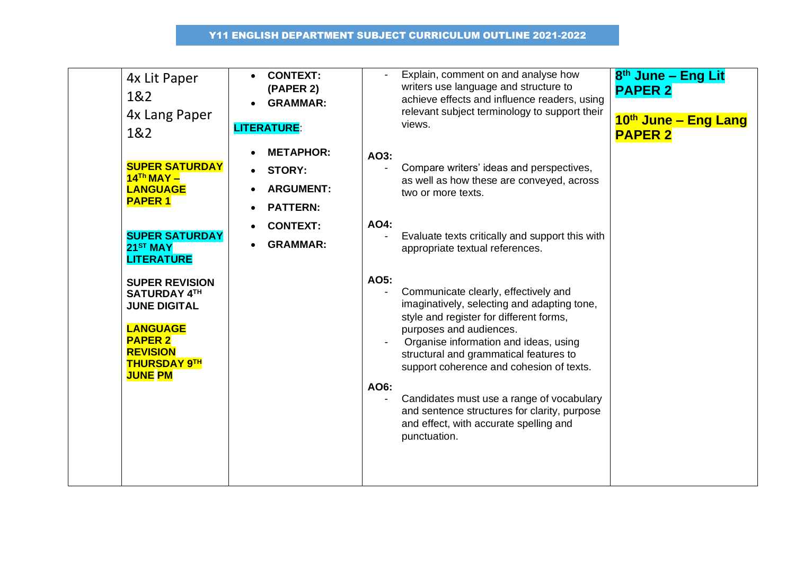| 4x Lit Paper<br>1&2<br>4x Lang Paper<br>1&2                                                                                                                          | <b>CONTEXT:</b><br>(PAPER 2)<br><b>GRAMMAR:</b><br><b>LITERATURE:</b>    | Explain, comment on and analyse how<br>8 <sup>th</sup> June - Eng Lit<br>writers use language and structure to<br><b>PAPER 2</b><br>achieve effects and influence readers, using<br>relevant subject terminology to support their<br>10th June - Eng Lang<br>views.<br><b>PAPER 2</b>                                                                                                                                                                           |
|----------------------------------------------------------------------------------------------------------------------------------------------------------------------|--------------------------------------------------------------------------|-----------------------------------------------------------------------------------------------------------------------------------------------------------------------------------------------------------------------------------------------------------------------------------------------------------------------------------------------------------------------------------------------------------------------------------------------------------------|
| <b>SUPER SATURDAY</b><br>$14Th$ MAY -<br><b>LANGUAGE</b><br><b>PAPER 1</b>                                                                                           | <b>METAPHOR:</b><br><b>STORY:</b><br><b>ARGUMENT:</b><br><b>PATTERN:</b> | AO3:<br>Compare writers' ideas and perspectives,<br>as well as how these are conveyed, across<br>two or more texts.                                                                                                                                                                                                                                                                                                                                             |
| <b>SUPER SATURDAY</b><br>$21ST$ MAY<br><b>LITERATURE</b>                                                                                                             | <b>CONTEXT:</b><br><b>GRAMMAR:</b>                                       | AO4:<br>Evaluate texts critically and support this with<br>appropriate textual references.                                                                                                                                                                                                                                                                                                                                                                      |
| <b>SUPER REVISION</b><br><b>SATURDAY 4TH</b><br><b>JUNE DIGITAL</b><br><b>LANGUAGE</b><br><b>PAPER 2</b><br><b>REVISION</b><br><b>THURSDAY 9TH</b><br><b>JUNE PM</b> |                                                                          | AO5:<br>Communicate clearly, effectively and<br>imaginatively, selecting and adapting tone,<br>style and register for different forms,<br>purposes and audiences.<br>Organise information and ideas, using<br>structural and grammatical features to<br>support coherence and cohesion of texts.<br>AO6:<br>Candidates must use a range of vocabulary<br>and sentence structures for clarity, purpose<br>and effect, with accurate spelling and<br>punctuation. |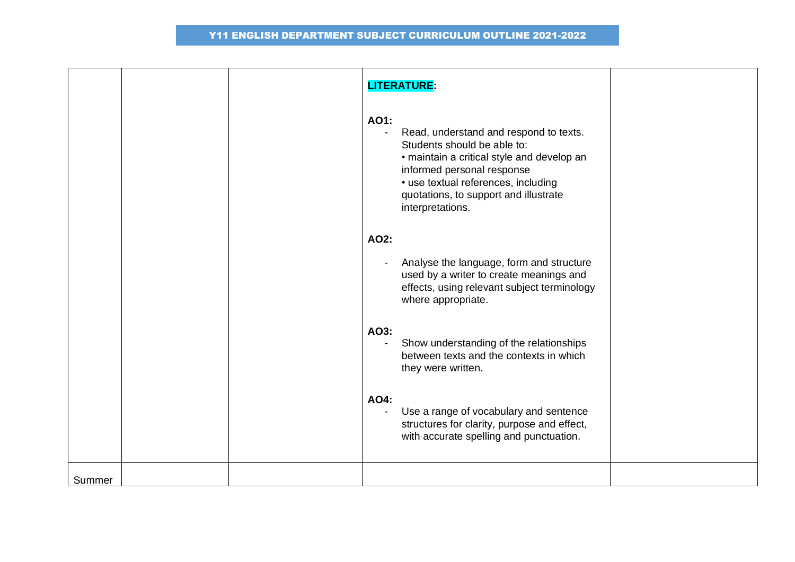|        |  | <b>LITERATURE:</b>                                                                                                                                                                                                                                                              |  |
|--------|--|---------------------------------------------------------------------------------------------------------------------------------------------------------------------------------------------------------------------------------------------------------------------------------|--|
|        |  | AO1:<br>Read, understand and respond to texts.<br>$\blacksquare$<br>Students should be able to:<br>• maintain a critical style and develop an<br>informed personal response<br>• use textual references, including<br>quotations, to support and illustrate<br>interpretations. |  |
|        |  | AO2:                                                                                                                                                                                                                                                                            |  |
|        |  | Analyse the language, form and structure<br>used by a writer to create meanings and<br>effects, using relevant subject terminology<br>where appropriate.                                                                                                                        |  |
|        |  | AO3:<br>Show understanding of the relationships<br>$\blacksquare$<br>between texts and the contexts in which<br>they were written.                                                                                                                                              |  |
|        |  | AO4:<br>Use a range of vocabulary and sentence<br>$\blacksquare$<br>structures for clarity, purpose and effect,<br>with accurate spelling and punctuation.                                                                                                                      |  |
| Summer |  |                                                                                                                                                                                                                                                                                 |  |